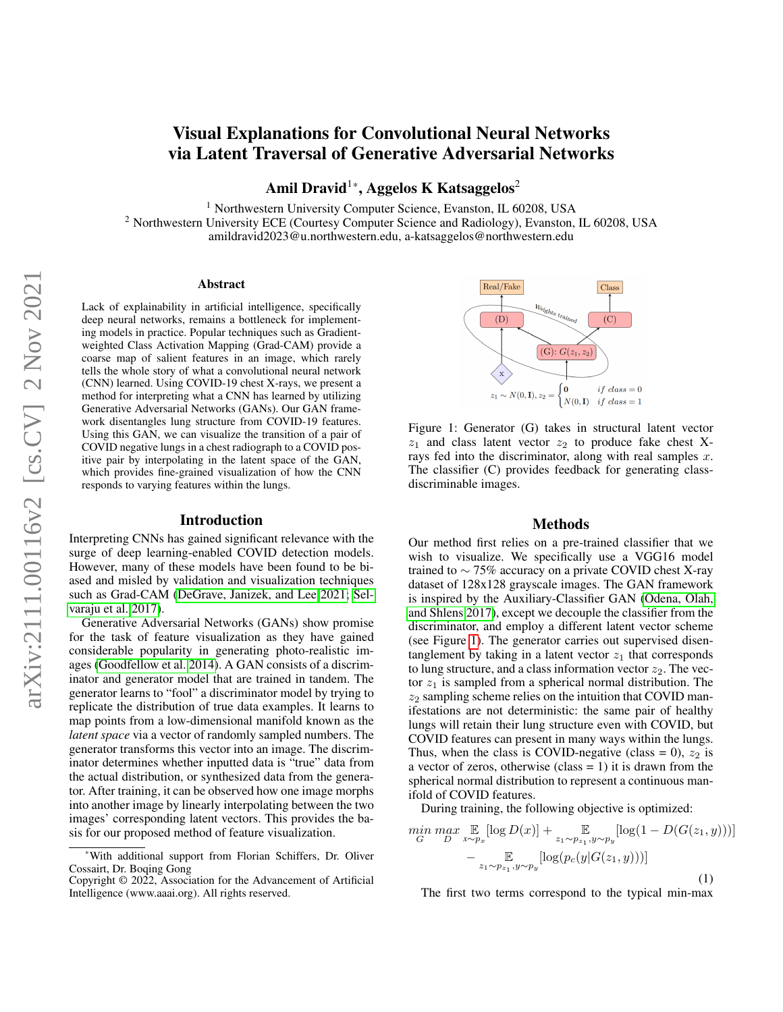# Visual Explanations for Convolutional Neural Networks via Latent Traversal of Generative Adversarial Networks

Amil Dravid<sup>1\*</sup>, Aggelos K Katsaggelos<sup>2</sup>

<sup>1</sup> Northwestern University Computer Science, Evanston, IL 60208, USA

<sup>2</sup> Northwestern University ECE (Courtesy Computer Science and Radiology), Evanston, IL 60208, USA amildravid2023@u.northwestern.edu, a-katsaggelos@northwestern.edu

## Abstract

Lack of explainability in artificial intelligence, specifically deep neural networks, remains a bottleneck for implementing models in practice. Popular techniques such as Gradientweighted Class Activation Mapping (Grad-CAM) provide a coarse map of salient features in an image, which rarely tells the whole story of what a convolutional neural network (CNN) learned. Using COVID-19 chest X-rays, we present a method for interpreting what a CNN has learned by utilizing Generative Adversarial Networks (GANs). Our GAN framework disentangles lung structure from COVID-19 features. Using this GAN, we can visualize the transition of a pair of COVID negative lungs in a chest radiograph to a COVID positive pair by interpolating in the latent space of the GAN, which provides fine-grained visualization of how the CNN responds to varying features within the lungs.

## Introduction

Interpreting CNNs has gained significant relevance with the surge of deep learning-enabled COVID detection models. However, many of these models have been found to be biased and misled by validation and visualization techniques such as Grad-CAM [\(DeGrave, Janizek, and Lee 2021;](#page-1-0) [Sel](#page-1-1)[varaju et al. 2017\)](#page-1-1).

Generative Adversarial Networks (GANs) show promise for the task of feature visualization as they have gained considerable popularity in generating photo-realistic images [\(Goodfellow et al. 2014\)](#page-1-2). A GAN consists of a discriminator and generator model that are trained in tandem. The generator learns to "fool" a discriminator model by trying to replicate the distribution of true data examples. It learns to map points from a low-dimensional manifold known as the *latent space* via a vector of randomly sampled numbers. The generator transforms this vector into an image. The discriminator determines whether inputted data is "true" data from the actual distribution, or synthesized data from the generator. After training, it can be observed how one image morphs into another image by linearly interpolating between the two images' corresponding latent vectors. This provides the basis for our proposed method of feature visualization.

<span id="page-0-0"></span>

Figure 1: Generator (G) takes in structural latent vector  $z_1$  and class latent vector  $z_2$  to produce fake chest Xrays fed into the discriminator, along with real samples  $x$ . The classifier (C) provides feedback for generating classdiscriminable images.

## Methods

Our method first relies on a pre-trained classifier that we wish to visualize. We specifically use a VGG16 model trained to ∼ 75% accuracy on a private COVID chest X-ray dataset of 128x128 grayscale images. The GAN framework is inspired by the Auxiliary-Classifier GAN [\(Odena, Olah,](#page-1-3) [and Shlens 2017\)](#page-1-3), except we decouple the classifier from the discriminator, and employ a different latent vector scheme (see Figure [1\)](#page-0-0). The generator carries out supervised disentanglement by taking in a latent vector  $z_1$  that corresponds to lung structure, and a class information vector  $z_2$ . The vector  $z_1$  is sampled from a spherical normal distribution. The  $z_2$  sampling scheme relies on the intuition that COVID manifestations are not deterministic: the same pair of healthy lungs will retain their lung structure even with COVID, but COVID features can present in many ways within the lungs. Thus, when the class is COVID-negative (class = 0),  $z_2$  is a vector of zeros, otherwise (class  $= 1$ ) it is drawn from the spherical normal distribution to represent a continuous manifold of COVID features.

During training, the following objective is optimized:

$$
\min_{G} \max_{D} \mathbb{E}_{x \sim p_x} [\log D(x)] + \mathbb{E}_{z_1 \sim p_{z_1}, y \sim p_y} [\log(1 - D(G(z_1, y)))] - \mathbb{E}_{z_1 \sim p_{z_1}, y \sim p_y} [\log(p_c(y|G(z_1, y)))] \tag{1}
$$

The first two terms correspond to the typical min-max

<sup>\*</sup>With additional support from Florian Schiffers, Dr. Oliver Cossairt, Dr. Boqing Gong

Copyright © 2022, Association for the Advancement of Artificial Intelligence (www.aaai.org). All rights reserved.